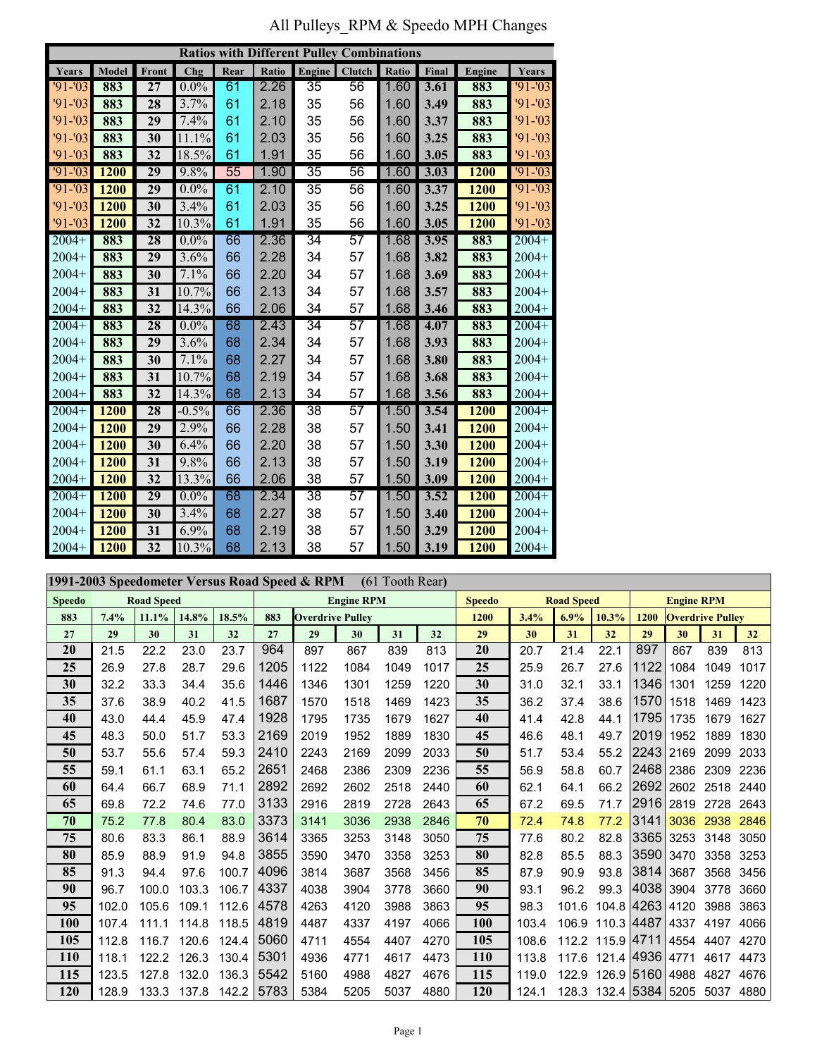All Pulleys\_RPM & Speedo MPH Changes

|             |                       |                 |         |      |              | <b>Ratios with Different Pulley Combinations</b> |                 |       |       |               |           |  |
|-------------|-----------------------|-----------------|---------|------|--------------|--------------------------------------------------|-----------------|-------|-------|---------------|-----------|--|
| Years       | Front<br>Chg<br>Model |                 |         | Rear | <b>Ratio</b> | Engine                                           | <b>Clutch</b>   | Ratio | Final | <b>Engine</b> | Years     |  |
| $91 - 03$   | 883                   | 27              | $0.0\%$ | 61   | 2.26         | 35                                               | 56              | 1.60  | 3.61  | 883           | $91 - 03$ |  |
| $91 - 03$   | 883                   | 28              | 3.7%    | 61   | 2.18         | 35                                               | 56              | 1.60  | 3.49  | 883           | $91 - 03$ |  |
| $91 - 03$   | 883                   | 29              | 7.4%    | 61   | 2.10         | 35                                               | 56              | 1.60  | 3.37  | 883           | $91 - 03$ |  |
| $91 - 03$   | 883                   | 30              | 11.1%   | 61   | 2.03         | 35                                               | 56              | 1.60  | 3.25  | 883           | $91 - 03$ |  |
| $91 - 03$   | 883                   | 32              | 18.5%   | 61   | 1.91         | 35                                               | 56              | 1.60  | 3.05  | 883           | $91 - 03$ |  |
| $91 - 03$   | <b>1200</b>           | $\overline{29}$ | 9.8%    | 55   | 1.90         | $\overline{35}$                                  | $\overline{56}$ | 1.60  | 3.03  | 1200          | $91 - 03$ |  |
| $'91 - '03$ | 1200                  | 29              | $0.0\%$ | 61   | 2.10         | $\overline{35}$                                  | 56              | 1.60  | 3.37  | <b>1200</b>   | $91 - 03$ |  |
| $91 - 03$   | 1200                  | 30              | 3.4%    | 61   | 2.03         | 35                                               | 56              | 1.60  | 3.25  | 1200          | $91 - 03$ |  |
| $91 - 03$   | 1200                  | 32              | 10.3%   | 61   | 1.91         | 35                                               | 56              | 1.60  | 3.05  | 1200          | $91 - 03$ |  |
| $2004+$     | 883                   | $\overline{28}$ | $0.0\%$ | 66   | 2.36         | $\overline{34}$                                  | $\overline{57}$ | 1.68  | 3.95  | 883           | $2004+$   |  |
| $2004+$     | 883                   | 29              | 3.6%    | 66   | 2.28         | 34                                               | 57              | 1.68  | 3.82  | 883           | $2004+$   |  |
| $2004+$     | 883                   | 30              | 7.1%    | 66   | 2.20         | 34                                               | 57              | 1.68  | 3.69  | 883           | $2004+$   |  |
| $2004+$     | 883                   | 31              | 10.7%   | 66   | 2.13         | 34                                               | 57              | 1.68  | 3.57  | 883           | $2004+$   |  |
| $2004+$     | 883                   | 32              | 14.3%   | 66   | 2.06         | 34                                               | 57              | 1.68  | 3.46  | 883           | $2004+$   |  |
| $2004+$     | 883                   | $\overline{28}$ | $0.0\%$ | 68   | 2.43         | $\overline{34}$                                  | $\overline{57}$ | 1.68  | 4.07  | 883           | $2004+$   |  |
| $2004+$     | 883                   | 29              | 3.6%    | 68   | 2.34         | 34                                               | 57              | 1.68  | 3.93  | 883           | $2004+$   |  |
| $2004+$     | 883                   | 30              | 7.1%    | 68   | 2.27         | 34                                               | 57              | 1.68  | 3.80  | 883           | $2004+$   |  |
| $2004+$     | 883                   | 31              | 10.7%   | 68   | 2.19         | 34                                               | 57              | 1.68  | 3.68  | 883           | $2004+$   |  |
| $2004+$     | 883                   | 32              | 14.3%   | 68   | 2.13         | 34                                               | 57              | 1.68  | 3.56  | 883           | $2004+$   |  |
| $2004+$     | 1200                  | 28              | $-0.5%$ | 66   | 2.36         | $\overline{38}$                                  | $\overline{57}$ | 1.50  | 3.54  | 1200          | $2004+$   |  |
| $2004+$     | 1200                  | 29              | 2.9%    | 66   | 2.28         | 38                                               | 57              | 1.50  | 3.41  | 1200          | $2004+$   |  |
| $2004+$     | 1200                  | 30              | 6.4%    | 66   | 2.20         | 38                                               | 57              | 1.50  | 3.30  | 1200          | $2004+$   |  |
| $2004+$     | 1200                  | 31              | 9.8%    | 66   | 2.13         | 38                                               | 57              | 1.50  | 3.19  | 1200          | $2004+$   |  |
| $2004+$     | 1200                  | 32              | 13.3%   | 66   | 2.06         | 38                                               | 57              | 1.50  | 3.09  | 1200          | $2004+$   |  |
| $2004+$     | <b>1200</b>           | $\overline{29}$ | $0.0\%$ | 68   | 2.34         | $\overline{38}$                                  | $\overline{57}$ | 1.50  | 3.52  | <b>1200</b>   | $2004+$   |  |
| $2004+$     | <b>1200</b>           | 30              | 3.4%    | 68   | 2.27         | 38                                               | 57              | 1.50  | 3.40  | 1200          | $2004+$   |  |
| $2004+$     | 1200                  | 31              | 6.9%    | 68   | 2.19         | 38                                               | 57              | 1.50  | 3.29  | 1200          | $2004+$   |  |
| $2004+$     | 1200                  | 32              | 10.3%   | 68   | 2.13         | 38                                               | 57              | 1.50  | 3.19  | 1200          | $2004+$   |  |

|               | 1991-2003 Speedometer Versus Road Speed & RPM<br>(61 Tooth Rear) |       |       |       |                   |                         |      |      |      |               |                   |       |            |                   |                         |      |      |  |
|---------------|------------------------------------------------------------------|-------|-------|-------|-------------------|-------------------------|------|------|------|---------------|-------------------|-------|------------|-------------------|-------------------------|------|------|--|
| <b>Speedo</b> | <b>Road Speed</b>                                                |       |       |       | <b>Engine RPM</b> |                         |      |      |      | <b>Speedo</b> | <b>Road Speed</b> |       |            | <b>Engine RPM</b> |                         |      |      |  |
| 883           | 7.4%                                                             | 11.1% | 14.8% | 18.5% | 883               | <b>Overdrive Pulley</b> |      |      |      | 1200          | 3.4%              | 6.9%  | 10.3%      | 1200              | <b>Overdrive Pulley</b> |      |      |  |
| 27            | 29                                                               | 30    | 31    | 32    | 27                | 29                      | 30   | 31   | 32   | 29            | 30                | 31    | 32         | 29                | 30                      | 31   | 32   |  |
| 20            | 21.5                                                             | 22.2  | 23.0  | 23.7  | 964               | 897                     | 867  | 839  | 813  | 20            | 20.7              | 21.4  | 22.1       | 897               | 867                     | 839  | 813  |  |
| 25            | 26.9                                                             | 27.8  | 28.7  | 29.6  | 1205              | 1122                    | 1084 | 1049 | 1017 | 25            | 25.9              | 26.7  | 27.6       | 1122              | 1084                    | 1049 | 1017 |  |
| 30            | 32.2                                                             | 33.3  | 34.4  | 35.6  | 1446              | 1346                    | 1301 | 1259 | 1220 | 30            | 31.0              | 32.1  | 33.1       | 1346              | 1301                    | 1259 | 1220 |  |
| 35            | 37.6                                                             | 38.9  | 40.2  | 41.5  | 1687              | 1570                    | 1518 | 1469 | 1423 | 35            | 36.2              | 37.4  | 38.6       | 1570              | 1518                    | 1469 | 1423 |  |
| 40            | 43.0                                                             | 44.4  | 45.9  | 47.4  | 1928              | 1795                    | 1735 | 1679 | 1627 | 40            | 41.4              | 42.8  | 44.1       | 1795              | 1735                    | 1679 | 1627 |  |
| 45            | 48.3                                                             | 50.0  | 51.7  | 53.3  | 2169              | 2019                    | 1952 | 1889 | 1830 | 45            | 46.6              | 48.1  | 49.7       | 2019              | 1952                    | 1889 | 1830 |  |
| 50            | 53.7                                                             | 55.6  | 57.4  | 59.3  | 2410              | 2243                    | 2169 | 2099 | 2033 | 50            | 51.7              | 53.4  | 55.2       | 2243              | 2169                    | 2099 | 2033 |  |
| 55            | 59.1                                                             | 61.1  | 63.1  | 65.2  | 2651              | 2468                    | 2386 | 2309 | 2236 | 55            | 56.9              | 58.8  | 60.7       | 2468              | 2386                    | 2309 | 2236 |  |
| 60            | 64.4                                                             | 66.7  | 68.9  | 71.1  | 2892              | 2692                    | 2602 | 2518 | 2440 | 60            | 62.1              | 64.1  | 66.2       | 2692              | 2602                    | 2518 | 2440 |  |
| 65            | 69.8                                                             | 72.2  | 74.6  | 77.0  | 3133              | 2916                    | 2819 | 2728 | 2643 | 65            | 67.2              | 69.5  | 71.7       | 2916              | 2819                    | 2728 | 2643 |  |
| 70            | 75.2                                                             | 77.8  | 80.4  | 83.0  | 3373              | 3141                    | 3036 | 2938 | 2846 | 70            | 72.4              | 74.8  | 77.2       | 3141              | 3036                    | 2938 | 2846 |  |
| 75            | 80.6                                                             | 83.3  | 86.1  | 88.9  | 3614              | 3365                    | 3253 | 3148 | 3050 | 75            | 77.6              | 80.2  | 82.8       | 3365              | 3253                    | 3148 | 3050 |  |
| 80            | 85.9                                                             | 88.9  | 91.9  | 94.8  | 3855              | 3590                    | 3470 | 3358 | 3253 | 80            | 82.8              | 85.5  | 88.3       | 3590              | 3470                    | 3358 | 3253 |  |
| 85            | 91.3                                                             | 94.4  | 97.6  | 100.7 | 4096              | 3814                    | 3687 | 3568 | 3456 | 85            | 87.9              | 90.9  | 93.8       | 3814              | 3687                    | 3568 | 3456 |  |
| 90            | 96.7                                                             | 100.0 | 103.3 | 106.7 | 4337              | 4038                    | 3904 | 3778 | 3660 | 90            | 93.1              | 96.2  | 99.3       | 4038              | 3904                    | 3778 | 3660 |  |
| 95            | 102.0                                                            | 105.6 | 109.1 | 112.6 | 4578              | 4263                    | 4120 | 3988 | 3863 | 95            | 98.3              | 101.6 | 104.8 4263 |                   | 4120                    | 3988 | 3863 |  |
| <b>100</b>    | 107.4                                                            | 111.1 | 114.8 | 118.5 | 4819              | 4487                    | 4337 | 4197 | 4066 | <b>100</b>    | 103.4             | 106.9 | 110.3 4487 |                   | 4337                    | 4197 | 4066 |  |
| 105           | 112.8                                                            | 116.7 | 120.6 | 124.4 | 5060              | 4711                    | 4554 | 4407 | 4270 | 105           | 108.6             | 112.2 | 115.9 4711 |                   | 4554                    | 4407 | 4270 |  |
| <b>110</b>    | 118.1                                                            | 122.2 | 126.3 | 130.4 | 5301              | 4936                    | 4771 | 4617 | 4473 | <b>110</b>    | 113.8             | 117.6 | 121.4 4936 |                   | 4771                    | 4617 | 4473 |  |
| 115           | 123.5                                                            | 127.8 | 132.0 | 136.3 | 5542              | 5160                    | 4988 | 4827 | 4676 | 115           | 119.0             | 122.9 | 126.9 5160 |                   | 4988                    | 4827 | 4676 |  |
| <b>120</b>    | 128.9                                                            | 133.3 | 137.8 | 142.2 | 5783              | 5384                    | 5205 | 5037 | 4880 | 120           | 124.1             | 128.3 | 132.4 5384 |                   | 5205                    | 5037 | 4880 |  |